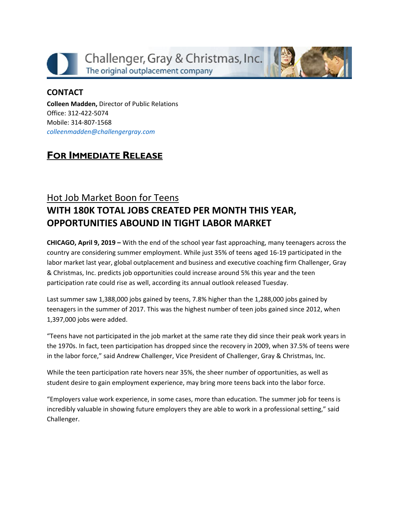



#### **CONTACT**

**Colleen Madden,** Director of Public Relations Office: 312-422-5074 Mobile: 314-807-1568 *[colleenmadden@challengergray.com](mailto:colleenmadden@challengergray.com)*

## **FOR IMMEDIATE RELEASE**

# Hot Job Market Boon for Teens **WITH 180K TOTAL JOBS CREATED PER MONTH THIS YEAR, OPPORTUNITIES ABOUND IN TIGHT LABOR MARKET**

**CHICAGO, April 9, 2019 –** With the end of the school year fast approaching, many teenagers across the country are considering summer employment. While just 35% of teens aged 16-19 participated in the labor market last year, global outplacement and business and executive coaching firm Challenger, Gray & Christmas, Inc. predicts job opportunities could increase around 5% this year and the teen participation rate could rise as well, according its annual outlook released Tuesday.

Last summer saw 1,388,000 jobs gained by teens, 7.8% higher than the 1,288,000 jobs gained by teenagers in the summer of 2017. This was the highest number of teen jobs gained since 2012, when 1,397,000 jobs were added.

"Teens have not participated in the job market at the same rate they did since their peak work years in the 1970s. In fact, teen participation has dropped since the recovery in 2009, when 37.5% of teens were in the labor force," said Andrew Challenger, Vice President of Challenger, Gray & Christmas, Inc.

While the teen participation rate hovers near 35%, the sheer number of opportunities, as well as student desire to gain employment experience, may bring more teens back into the labor force.

"Employers value work experience, in some cases, more than education. The summer job for teens is incredibly valuable in showing future employers they are able to work in a professional setting," said Challenger.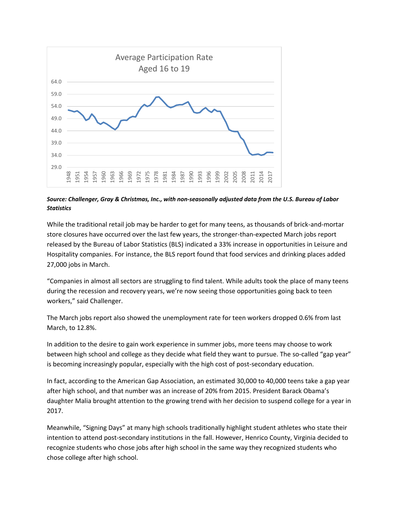

#### *Source: Challenger, Gray & Christmas, Inc., with non-seasonally adjusted data from the U.S. Bureau of Labor Statistics*

While the traditional retail job may be harder to get for many teens, as thousands of brick-and-mortar store closures have occurred over the last few years, the stronger-than-expected March jobs report released by the Bureau of Labor Statistics (BLS) indicated a 33% increase in opportunities in Leisure and Hospitality companies. For instance, the BLS report found that food services and drinking places added 27,000 jobs in March.

"Companies in almost all sectors are struggling to find talent. While adults took the place of many teens during the recession and recovery years, we're now seeing those opportunities going back to teen workers," said Challenger.

The March jobs report also showed the unemployment rate for teen workers dropped 0.6% from last March, to 12.8%.

In addition to the desire to gain work experience in summer jobs, more teens may choose to work between high school and college as they decide what field they want to pursue. The so-called "gap year" is becoming increasingly popular, especially with the high cost of post-secondary education.

In fact, according to the American Gap Association, an estimated 30,000 to 40,000 teens take a gap year after high school, and that number was an increase of 20% from 2015. President Barack Obama's daughter Malia brought attention to the growing trend with her decision to suspend college for a year in 2017.

Meanwhile, "Signing Days" at many high schools traditionally highlight student athletes who state their intention to attend post-secondary institutions in the fall. However, Henrico County, Virginia decided to recognize students who chose jobs after high school in the same way they recognized students who chose college after high school.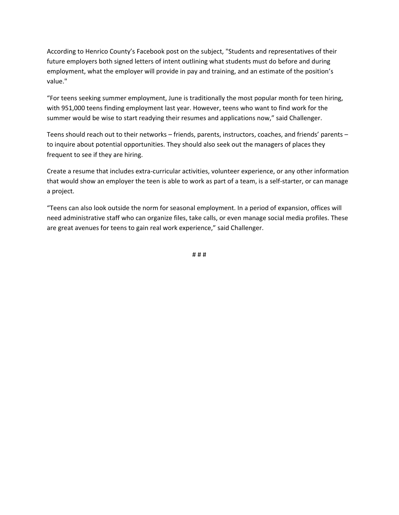According to Henrico County's Facebook post on the subject, "Students and representatives of their future employers both signed letters of intent outlining what students must do before and during employment, what the employer will provide in pay and training, and an estimate of the position's value."

"For teens seeking summer employment, June is traditionally the most popular month for teen hiring, with 951,000 teens finding employment last year. However, teens who want to find work for the summer would be wise to start readying their resumes and applications now," said Challenger.

Teens should reach out to their networks – friends, parents, instructors, coaches, and friends' parents – to inquire about potential opportunities. They should also seek out the managers of places they frequent to see if they are hiring.

Create a resume that includes extra-curricular activities, volunteer experience, or any other information that would show an employer the teen is able to work as part of a team, is a self-starter, or can manage a project.

"Teens can also look outside the norm for seasonal employment. In a period of expansion, offices will need administrative staff who can organize files, take calls, or even manage social media profiles. These are great avenues for teens to gain real work experience," said Challenger.

# # #